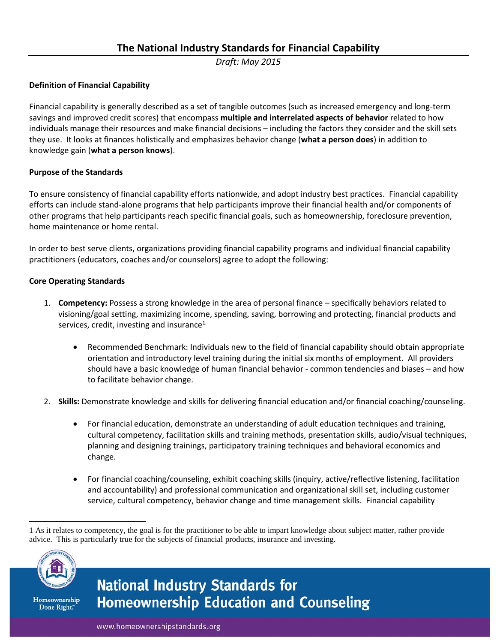*Draft: May 2015*

#### **Definition of Financial Capability**

Financial capability is generally described as a set of tangible outcomes (such as increased emergency and long-term savings and improved credit scores) that encompass **multiple and interrelated aspects of behavior** related to how individuals manage their resources and make financial decisions – including the factors they consider and the skill sets they use. It looks at finances holistically and emphasizes behavior change (**what a person does**) in addition to knowledge gain (**what a person knows**).

#### **Purpose of the Standards**

To ensure consistency of financial capability efforts nationwide, and adopt industry best practices. Financial capability efforts can include stand-alone programs that help participants improve their financial health and/or components of other programs that help participants reach specific financial goals, such as homeownership, foreclosure prevention, home maintenance or home rental.

In order to best serve clients, organizations providing financial capability programs and individual financial capability practitioners (educators, coaches and/or counselors) agree to adopt the following:

#### **Core Operating Standards**

- 1. **Competency:** Possess a strong knowledge in the area of personal finance specifically behaviors related to visioning/goal setting, maximizing income, spending, saving, borrowing and protecting, financial products and services, credit, investing and insurance $1$ .
	- Recommended Benchmark: Individuals new to the field of financial capability should obtain appropriate orientation and introductory level training during the initial six months of employment. All providers should have a basic knowledge of human financial behavior - common tendencies and biases – and how to facilitate behavior change.
- 2. **Skills:** Demonstrate knowledge and skills for delivering financial education and/or financial coaching/counseling.
	- For financial education, demonstrate an understanding of adult education techniques and training, cultural competency, facilitation skills and training methods, presentation skills, audio/visual techniques, planning and designing trainings, participatory training techniques and behavioral economics and change.
	- For financial coaching/counseling, exhibit coaching skills (inquiry, active/reflective listening, facilitation and accountability) and professional communication and organizational skill set, including customer service, cultural competency, behavior change and time management skills. Financial capability

 $\overline{\phantom{a}}$ 1 As it relates to competency, the goal is for the practitioner to be able to impart knowledge about subject matter, rather provide advice. This is particularly true for the subjects of financial products, insurance and investing.



Homeownership Done Right."

# **National Industry Standards for Homeownership Education and Counseling**

www.homeownershipstandards.org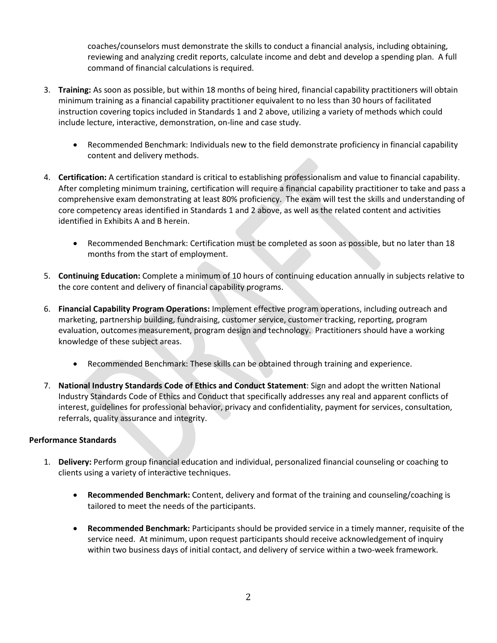coaches/counselors must demonstrate the skills to conduct a financial analysis, including obtaining, reviewing and analyzing credit reports, calculate income and debt and develop a spending plan. A full command of financial calculations is required.

- 3. **Training:** As soon as possible, but within 18 months of being hired, financial capability practitioners will obtain minimum training as a financial capability practitioner equivalent to no less than 30 hours of facilitated instruction covering topics included in Standards 1 and 2 above, utilizing a variety of methods which could include lecture, interactive, demonstration, on-line and case study.
	- Recommended Benchmark: Individuals new to the field demonstrate proficiency in financial capability content and delivery methods.
- 4. **Certification:** A certification standard is critical to establishing professionalism and value to financial capability. After completing minimum training, certification will require a financial capability practitioner to take and pass a comprehensive exam demonstrating at least 80% proficiency. The exam will test the skills and understanding of core competency areas identified in Standards 1 and 2 above, as well as the related content and activities identified in Exhibits A and B herein.
	- Recommended Benchmark: Certification must be completed as soon as possible, but no later than 18 months from the start of employment.
- 5. **Continuing Education:** Complete a minimum of 10 hours of continuing education annually in subjects relative to the core content and delivery of financial capability programs.
- 6. **Financial Capability Program Operations:** Implement effective program operations, including outreach and marketing, partnership building, fundraising, customer service, customer tracking, reporting, program evaluation, outcomes measurement, program design and technology. Practitioners should have a working knowledge of these subject areas.
	- Recommended Benchmark: These skills can be obtained through training and experience.
- 7. **National Industry Standards Code of Ethics and Conduct Statement**: Sign and adopt the written National Industry Standards Code of Ethics and Conduct that specifically addresses any real and apparent conflicts of interest, guidelines for professional behavior, privacy and confidentiality, payment for services, consultation, referrals, quality assurance and integrity.

#### **Performance Standards**

- 1. **Delivery:** Perform group financial education and individual, personalized financial counseling or coaching to clients using a variety of interactive techniques.
	- **Recommended Benchmark:** Content, delivery and format of the training and counseling/coaching is tailored to meet the needs of the participants.
	- **Recommended Benchmark:** Participants should be provided service in a timely manner, requisite of the service need. At minimum, upon request participants should receive acknowledgement of inquiry within two business days of initial contact, and delivery of service within a two-week framework.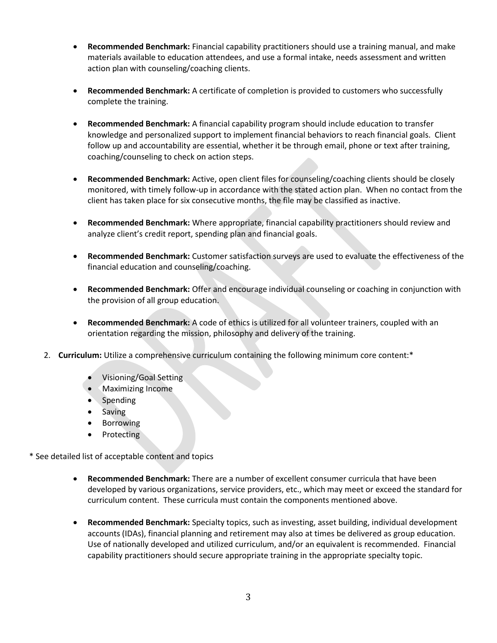- **Recommended Benchmark:** Financial capability practitioners should use a training manual, and make materials available to education attendees, and use a formal intake, needs assessment and written action plan with counseling/coaching clients.
- **Recommended Benchmark:** A certificate of completion is provided to customers who successfully complete the training.
- **Recommended Benchmark:** A financial capability program should include education to transfer knowledge and personalized support to implement financial behaviors to reach financial goals. Client follow up and accountability are essential, whether it be through email, phone or text after training, coaching/counseling to check on action steps.
- **Recommended Benchmark:** Active, open client files for counseling/coaching clients should be closely monitored, with timely follow-up in accordance with the stated action plan. When no contact from the client has taken place for six consecutive months, the file may be classified as inactive.
- **Recommended Benchmark:** Where appropriate, financial capability practitioners should review and analyze client's credit report, spending plan and financial goals.
- **Recommended Benchmark:** Customer satisfaction surveys are used to evaluate the effectiveness of the financial education and counseling/coaching.
- **Recommended Benchmark:** Offer and encourage individual counseling or coaching in conjunction with the provision of all group education.
- **Recommended Benchmark:** A code of ethics is utilized for all volunteer trainers, coupled with an orientation regarding the mission, philosophy and delivery of the training.
- 2. **Curriculum:** Utilize a comprehensive curriculum containing the following minimum core content:\*
	- Visioning/Goal Setting
	- Maximizing Income
	- Spending
	- Saving
	- Borrowing
	- **Protecting**

\* See detailed list of acceptable content and topics

- **Recommended Benchmark:** There are a number of excellent consumer curricula that have been developed by various organizations, service providers, etc., which may meet or exceed the standard for curriculum content. These curricula must contain the components mentioned above.
- **Recommended Benchmark:** Specialty topics, such as investing, asset building, individual development accounts (IDAs), financial planning and retirement may also at times be delivered as group education. Use of nationally developed and utilized curriculum, and/or an equivalent is recommended. Financial capability practitioners should secure appropriate training in the appropriate specialty topic.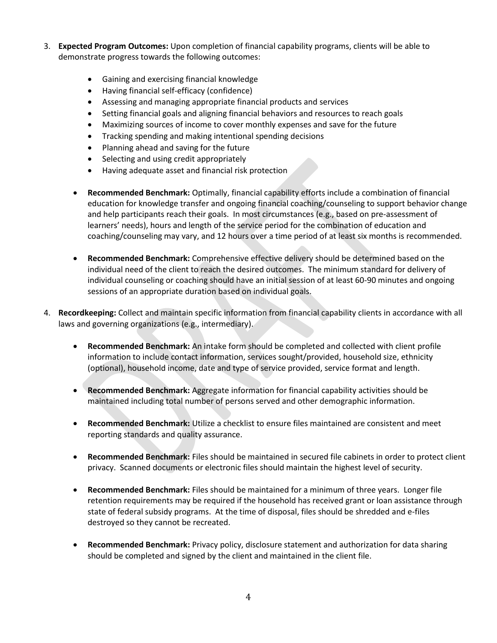- 3. **Expected Program Outcomes:** Upon completion of financial capability programs, clients will be able to demonstrate progress towards the following outcomes:
	- Gaining and exercising financial knowledge
	- Having financial self-efficacy (confidence)
	- Assessing and managing appropriate financial products and services
	- Setting financial goals and aligning financial behaviors and resources to reach goals
	- Maximizing sources of income to cover monthly expenses and save for the future
	- Tracking spending and making intentional spending decisions
	- Planning ahead and saving for the future
	- Selecting and using credit appropriately
	- Having adequate asset and financial risk protection
	- **Recommended Benchmark:** Optimally, financial capability efforts include a combination of financial education for knowledge transfer and ongoing financial coaching/counseling to support behavior change and help participants reach their goals. In most circumstances (e.g., based on pre-assessment of learners' needs), hours and length of the service period for the combination of education and coaching/counseling may vary, and 12 hours over a time period of at least six months is recommended.
	- **Recommended Benchmark:** Comprehensive effective delivery should be determined based on the individual need of the client to reach the desired outcomes. The minimum standard for delivery of individual counseling or coaching should have an initial session of at least 60-90 minutes and ongoing sessions of an appropriate duration based on individual goals.
- 4. **Recordkeeping:** Collect and maintain specific information from financial capability clients in accordance with all laws and governing organizations (e.g., intermediary).
	- **Recommended Benchmark:** An intake form should be completed and collected with client profile information to include contact information, services sought/provided, household size, ethnicity (optional), household income, date and type of service provided, service format and length.
	- **Recommended Benchmark:** Aggregate information for financial capability activities should be maintained including total number of persons served and other demographic information.
	- **Recommended Benchmark:** Utilize a checklist to ensure files maintained are consistent and meet reporting standards and quality assurance.
	- **Recommended Benchmark:** Files should be maintained in secured file cabinets in order to protect client privacy. Scanned documents or electronic files should maintain the highest level of security.
	- **Recommended Benchmark:** Files should be maintained for a minimum of three years. Longer file retention requirements may be required if the household has received grant or loan assistance through state of federal subsidy programs. At the time of disposal, files should be shredded and e-files destroyed so they cannot be recreated.
	- **Recommended Benchmark:** Privacy policy, disclosure statement and authorization for data sharing should be completed and signed by the client and maintained in the client file.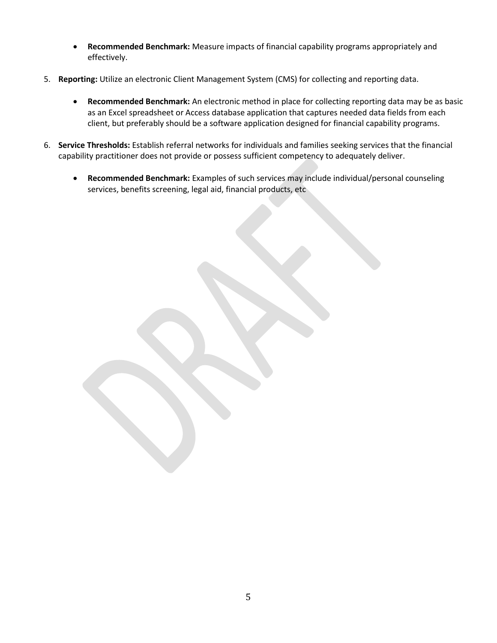- **Recommended Benchmark:** Measure impacts of financial capability programs appropriately and effectively.
- 5. **Reporting:** Utilize an electronic Client Management System (CMS) for collecting and reporting data.
	- **Recommended Benchmark:** An electronic method in place for collecting reporting data may be as basic as an Excel spreadsheet or Access database application that captures needed data fields from each client, but preferably should be a software application designed for financial capability programs.
- 6. **Service Thresholds:** Establish referral networks for individuals and families seeking services that the financial capability practitioner does not provide or possess sufficient competency to adequately deliver.
	- **Recommended Benchmark:** Examples of such services may include individual/personal counseling services, benefits screening, legal aid, financial products, etc

5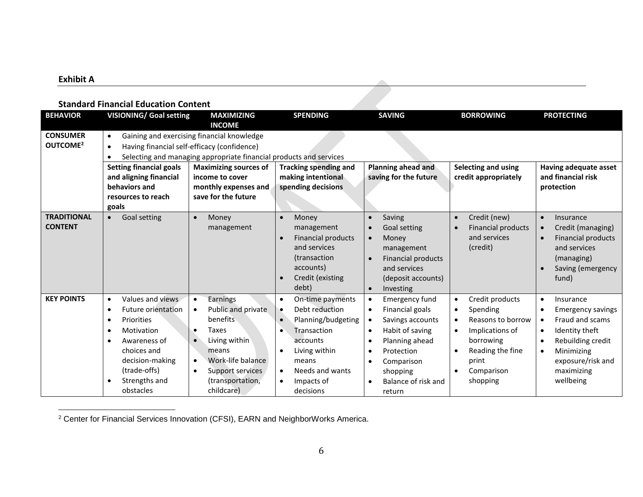## **Exhibit A**

 $\overline{\phantom{a}}$ 

## **Standard Financial Education Content**

| <b>BEHAVIOR</b>                         | <b>VISIONING/ Goal setting</b>                                                                                                                                                                                                      | <b>MAXIMIZING</b><br><b>INCOME</b>                                                                                                                                                 | <b>SPENDING</b>                                                                                                                                                                                    | <b>SAVING</b>                                                                                                                                                                                                                                                                      | <b>BORROWING</b>                                                                                                                                                                    | <b>PROTECTING</b>                                                                                                                                                                                                                           |
|-----------------------------------------|-------------------------------------------------------------------------------------------------------------------------------------------------------------------------------------------------------------------------------------|------------------------------------------------------------------------------------------------------------------------------------------------------------------------------------|----------------------------------------------------------------------------------------------------------------------------------------------------------------------------------------------------|------------------------------------------------------------------------------------------------------------------------------------------------------------------------------------------------------------------------------------------------------------------------------------|-------------------------------------------------------------------------------------------------------------------------------------------------------------------------------------|---------------------------------------------------------------------------------------------------------------------------------------------------------------------------------------------------------------------------------------------|
| <b>CONSUMER</b><br>OUTCOME <sup>2</sup> | $\bullet$<br>$\bullet$                                                                                                                                                                                                              | Gaining and exercising financial knowledge<br>Having financial self-efficacy (confidence)<br>Selecting and managing appropriate financial products and services                    |                                                                                                                                                                                                    |                                                                                                                                                                                                                                                                                    |                                                                                                                                                                                     |                                                                                                                                                                                                                                             |
|                                         | <b>Setting financial goals</b><br>and aligning financial<br>behaviors and<br>resources to reach<br>goals                                                                                                                            | <b>Maximizing sources of</b><br>income to cover<br>monthly expenses and<br>save for the future                                                                                     | <b>Tracking spending and</b><br>making intentional<br>spending decisions                                                                                                                           | Planning ahead and<br>saving for the future                                                                                                                                                                                                                                        | Selecting and using<br>credit appropriately                                                                                                                                         | Having adequate asset<br>and financial risk<br>protection                                                                                                                                                                                   |
| <b>TRADITIONAL</b><br><b>CONTENT</b>    | <b>Goal setting</b><br>$\bullet$                                                                                                                                                                                                    | Money<br>management                                                                                                                                                                | Money<br>management<br><b>Financial products</b><br>and services<br>(transaction<br>accounts)<br>Credit (existing<br>debt)                                                                         | Saving<br>$\bullet$<br>Goal setting<br>$\bullet$<br>Money<br>$\bullet$<br>management<br><b>Financial products</b><br>$\bullet$<br>and services<br>(deposit accounts)<br>Investing<br>$\bullet$                                                                                     | Credit (new)<br>$\bullet$<br><b>Financial products</b><br>and services<br>(credit)                                                                                                  | Insurance<br>$\bullet$<br>Credit (managing)<br>$\bullet$<br><b>Financial products</b><br>$\bullet$<br>and services<br>(managing)<br>Saving (emergency<br>fund)                                                                              |
| <b>KEY POINTS</b>                       | Values and views<br>$\bullet$<br>Future orientation<br>$\bullet$<br>Priorities<br>$\bullet$<br>Motivation<br>$\bullet$<br>Awareness of<br>choices and<br>decision-making<br>(trade-offs)<br>Strengths and<br>$\bullet$<br>obstacles | Earnings<br>Public and private<br>benefits<br>Taxes<br>Living within<br>means<br>Work-life balance<br>$\bullet$<br>Support services<br>$\bullet$<br>(transportation,<br>childcare) | On-time payments<br>Debt reduction<br>Planning/budgeting<br>$\bullet$<br>Transaction<br>accounts<br>Living within<br>$\bullet$<br>means<br>Needs and wants<br>$\bullet$<br>Impacts of<br>decisions | <b>Emergency fund</b><br>$\bullet$<br>Financial goals<br>$\bullet$<br>Savings accounts<br>$\bullet$<br>Habit of saving<br>$\bullet$<br>Planning ahead<br>$\bullet$<br>Protection<br>$\bullet$<br>Comparison<br>$\bullet$<br>shopping<br>Balance of risk and<br>$\bullet$<br>return | Credit products<br>$\bullet$<br>Spending<br>٠<br>Reasons to borrow<br>$\bullet$<br>Implications of<br>borrowing<br>Reading the fine<br>print<br>Comparison<br>$\bullet$<br>shopping | Insurance<br>$\bullet$<br><b>Emergency savings</b><br>$\bullet$<br>Fraud and scams<br>$\bullet$<br>Identity theft<br>$\bullet$<br>Rebuilding credit<br>$\bullet$<br>Minimizing<br>$\bullet$<br>exposure/risk and<br>maximizing<br>wellbeing |

 $^2$  Center for Financial Services Innovation (CFSI), EARN and NeighborWorks America.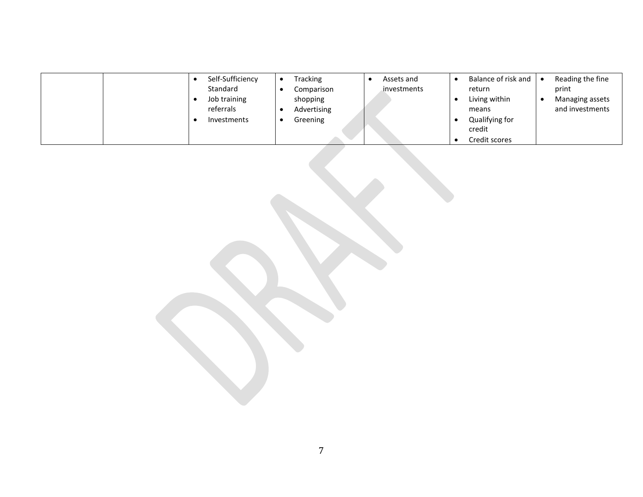| Self-Sufficiency<br>Standard<br>Job training<br>referrals<br><b>Investments</b> | Tracking<br>Assets and<br>investments<br>Comparison<br>shopping<br>Advertising<br>Greening | Balance of risk and<br>Reading the fine<br>$\bullet$<br>print<br>return<br>Living within<br>Managing assets<br>and investments<br>means<br>Qualifying for<br>credit |
|---------------------------------------------------------------------------------|--------------------------------------------------------------------------------------------|---------------------------------------------------------------------------------------------------------------------------------------------------------------------|
|                                                                                 |                                                                                            | Credit scores                                                                                                                                                       |